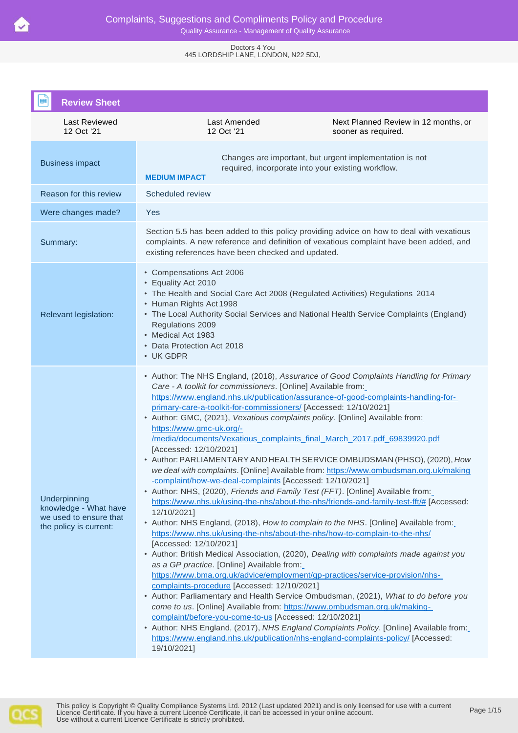| 里<br><b>Review Sheet</b>                                                                  |                                                                                                                                                                                                                                                                                                                                                                                                                                                                                                                                                                                                                                                                                                                                                                                                                                                                                                                                                                                                                                                                                                                                                                                                                                                                                                                                                                                                                                                                                                                                                                                                                                                                                                                                                                                                                                                               |                                                             |
|-------------------------------------------------------------------------------------------|---------------------------------------------------------------------------------------------------------------------------------------------------------------------------------------------------------------------------------------------------------------------------------------------------------------------------------------------------------------------------------------------------------------------------------------------------------------------------------------------------------------------------------------------------------------------------------------------------------------------------------------------------------------------------------------------------------------------------------------------------------------------------------------------------------------------------------------------------------------------------------------------------------------------------------------------------------------------------------------------------------------------------------------------------------------------------------------------------------------------------------------------------------------------------------------------------------------------------------------------------------------------------------------------------------------------------------------------------------------------------------------------------------------------------------------------------------------------------------------------------------------------------------------------------------------------------------------------------------------------------------------------------------------------------------------------------------------------------------------------------------------------------------------------------------------------------------------------------------------|-------------------------------------------------------------|
| <b>Last Reviewed</b><br>12 Oct '21                                                        | Last Amended<br>12 Oct '21                                                                                                                                                                                                                                                                                                                                                                                                                                                                                                                                                                                                                                                                                                                                                                                                                                                                                                                                                                                                                                                                                                                                                                                                                                                                                                                                                                                                                                                                                                                                                                                                                                                                                                                                                                                                                                    | Next Planned Review in 12 months, or<br>sooner as required. |
| <b>Business impact</b>                                                                    | Changes are important, but urgent implementation is not<br>required, incorporate into your existing workflow.<br><b>MEDIUM IMPACT</b>                                                                                                                                                                                                                                                                                                                                                                                                                                                                                                                                                                                                                                                                                                                                                                                                                                                                                                                                                                                                                                                                                                                                                                                                                                                                                                                                                                                                                                                                                                                                                                                                                                                                                                                         |                                                             |
| Reason for this review                                                                    | Scheduled review                                                                                                                                                                                                                                                                                                                                                                                                                                                                                                                                                                                                                                                                                                                                                                                                                                                                                                                                                                                                                                                                                                                                                                                                                                                                                                                                                                                                                                                                                                                                                                                                                                                                                                                                                                                                                                              |                                                             |
| Were changes made?                                                                        | Yes                                                                                                                                                                                                                                                                                                                                                                                                                                                                                                                                                                                                                                                                                                                                                                                                                                                                                                                                                                                                                                                                                                                                                                                                                                                                                                                                                                                                                                                                                                                                                                                                                                                                                                                                                                                                                                                           |                                                             |
| Summary:                                                                                  | Section 5.5 has been added to this policy providing advice on how to deal with vexatious<br>complaints. A new reference and definition of vexatious complaint have been added, and<br>existing references have been checked and updated.                                                                                                                                                                                                                                                                                                                                                                                                                                                                                                                                                                                                                                                                                                                                                                                                                                                                                                                                                                                                                                                                                                                                                                                                                                                                                                                                                                                                                                                                                                                                                                                                                      |                                                             |
| Relevant legislation:                                                                     | • Compensations Act 2006<br>• Equality Act 2010<br>• The Health and Social Care Act 2008 (Regulated Activities) Regulations 2014<br>• Human Rights Act 1998<br>• The Local Authority Social Services and National Health Service Complaints (England)<br>Regulations 2009<br>• Medical Act 1983<br>• Data Protection Act 2018<br>• UK GDPR                                                                                                                                                                                                                                                                                                                                                                                                                                                                                                                                                                                                                                                                                                                                                                                                                                                                                                                                                                                                                                                                                                                                                                                                                                                                                                                                                                                                                                                                                                                    |                                                             |
| Underpinning<br>knowledge - What have<br>we used to ensure that<br>the policy is current: | • Author: The NHS England, (2018), Assurance of Good Complaints Handling for Primary<br>Care - A toolkit for commissioners. [Online] Available from:<br>https://www.england.nhs.uk/publication/assurance-of-good-complaints-handling-for-<br>primary-care-a-toolkit-for-commissioners/ [Accessed: 12/10/2021]<br>• Author: GMC, (2021), Vexatious complaints policy. [Online] Available from:<br>https://www.gmc-uk.org/-<br>/media/documents/Vexatious_complaints_final_March_2017.pdf_69839920.pdf<br>[Accessed: 12/10/2021]<br>• Author: PARLIAMENTARY AND HEALTH SERVICE OMBUDSMAN (PHSO), (2020), How<br>we deal with complaints. [Online] Available from: https://www.ombudsman.org.uk/making<br>-complaint/how-we-deal-complaints [Accessed: 12/10/2021]<br>• Author: NHS, (2020), Friends and Family Test (FFT). [Online] Available from:<br>https://www.nhs.uk/using-the-nhs/about-the-nhs/friends-and-family-test-fft/# [Accessed:<br>12/10/2021]<br>• Author: NHS England, (2018), How to complain to the NHS. [Online] Available from:<br>https://www.nhs.uk/using-the-nhs/about-the-nhs/how-to-complain-to-the-nhs/<br>[Accessed: 12/10/2021]<br>• Author: British Medical Association, (2020), Dealing with complaints made against you<br>as a GP practice. [Online] Available from:<br>https://www.bma.org.uk/advice/employment/gp-practices/service-provision/nhs-<br>complaints-procedure [Accessed: 12/10/2021]<br>• Author: Parliamentary and Health Service Ombudsman, (2021), What to do before you<br>come to us. [Online] Available from: https://www.ombudsman.org.uk/making-<br>complaint/before-you-come-to-us [Accessed: 12/10/2021]<br>• Author: NHS England, (2017), NHS England Complaints Policy. [Online] Available from:<br>https://www.england.nhs.uk/publication/nhs-england-complaints-policy/ [Accessed:<br>19/10/2021] |                                                             |



M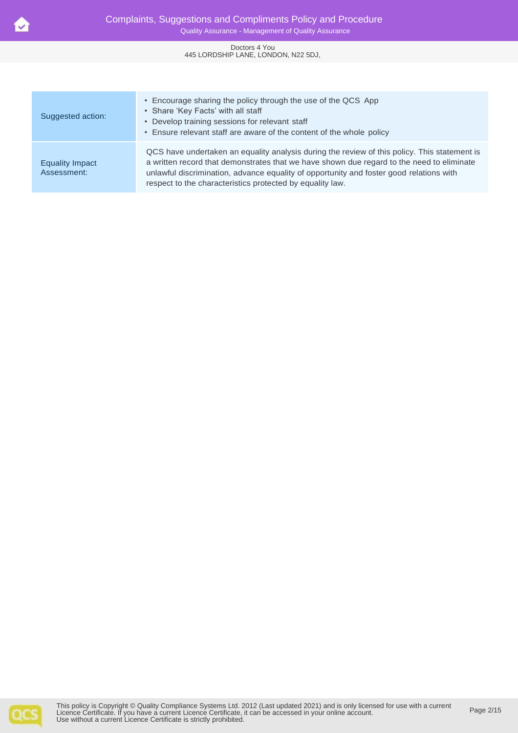Quality Assurance - Management of Quality Assurance

Doctors 4 You 445 LORDSHIP LANE, LONDON, N22 5DJ,

| Suggested action:                     | • Encourage sharing the policy through the use of the QCS App<br>• Share 'Key Facts' with all staff<br>• Develop training sessions for relevant staff<br>• Ensure relevant staff are aware of the content of the whole policy                                                                                                                     |  |
|---------------------------------------|---------------------------------------------------------------------------------------------------------------------------------------------------------------------------------------------------------------------------------------------------------------------------------------------------------------------------------------------------|--|
| <b>Equality Impact</b><br>Assessment: | QCS have undertaken an equality analysis during the review of this policy. This statement is<br>a written record that demonstrates that we have shown due regard to the need to eliminate<br>unlawful discrimination, advance equality of opportunity and foster good relations with<br>respect to the characteristics protected by equality law. |  |

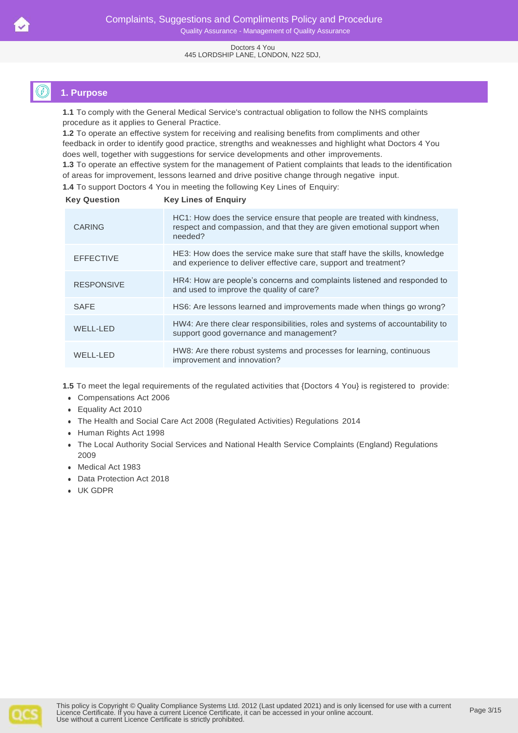# **1. Purpose**

**1.1** To comply with the General Medical Service's contractual obligation to follow the NHS complaints procedure as it applies to General Practice.

**1.2** To operate an effective system for receiving and realising benefits from compliments and other feedback in order to identify good practice, strengths and weaknesses and highlight what Doctors 4 You does well, together with suggestions for service developments and other improvements.

**1.3** To operate an effective system for the management of Patient complaints that leads to the identification of areas for improvement, lessons learned and drive positive change through negative input.

**1.4** To support Doctors 4 You in meeting the following Key Lines of Enquiry:

| <b>Key Question</b> | <b>Key Lines of Enguiry</b>                                                                                                                                  |
|---------------------|--------------------------------------------------------------------------------------------------------------------------------------------------------------|
| <b>CARING</b>       | HC1: How does the service ensure that people are treated with kindness,<br>respect and compassion, and that they are given emotional support when<br>needed? |
| <b>EFFECTIVE</b>    | HE3: How does the service make sure that staff have the skills, knowledge<br>and experience to deliver effective care, support and treatment?                |
| <b>RESPONSIVE</b>   | HR4: How are people's concerns and complaints listened and responded to<br>and used to improve the quality of care?                                          |
| <b>SAFF</b>         | HS6: Are lessons learned and improvements made when things go wrong?                                                                                         |
| <b>WELL-LED</b>     | HW4: Are there clear responsibilities, roles and systems of accountability to<br>support good governance and management?                                     |
| WELL-LED            | HW8: Are there robust systems and processes for learning, continuous<br>improvement and innovation?                                                          |

**1.5** To meet the legal requirements of the regulated activities that {Doctors 4 You} is registered to provide:

- ⚫ Compensations Act 2006
- ⚫ Equality Act 2010
- ⚫ The Health and Social Care Act 2008 (Regulated Activities) Regulations 2014
- ⚫ Human Rights Act 1998
- ⚫ The Local Authority Social Services and National Health Service Complaints (England) Regulations 2009
- ⚫ Medical Act 1983
- ⚫ Data Protection Act 2018
- ⚫ UK GDPR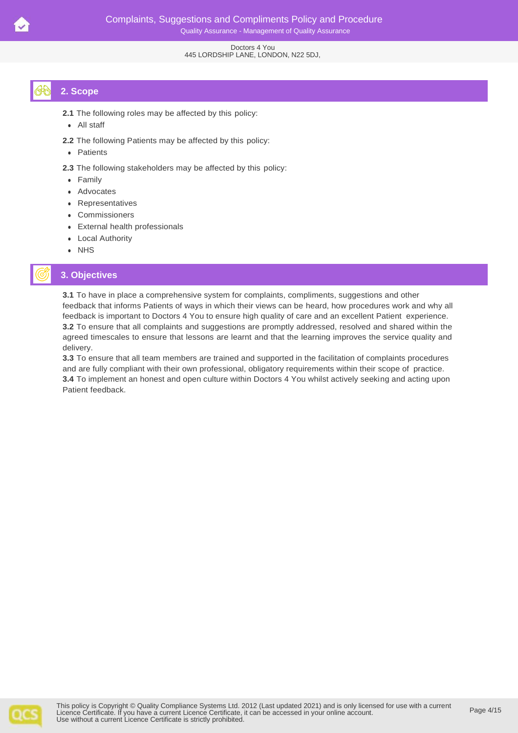# **2. Scope**

- **2.1** The following roles may be affected by this policy:
- ⚫ All staff
- **2.2** The following Patients may be affected by this policy:
- ⚫ Patients
- **2.3** The following stakeholders may be affected by this policy:
	- ⚫ Family
	- ⚫ Advocates
- ⚫ Representatives
- ⚫ Commissioners
- ⚫ External health professionals
- ⚫ Local Authority
- ⚫ NHS

## **3. Objectives**

**3.1** To have in place a comprehensive system for complaints, compliments, suggestions and other feedback that informs Patients of ways in which their views can be heard, how procedures work and why all feedback is important to Doctors 4 You to ensure high quality of care and an excellent Patient experience. **3.2** To ensure that all complaints and suggestions are promptly addressed, resolved and shared within the agreed timescales to ensure that lessons are learnt and that the learning improves the service quality and delivery.

**3.3** To ensure that all team members are trained and supported in the facilitation of complaints procedures and are fully compliant with their own professional, obligatory requirements within their scope of practice. **3.4** To implement an honest and open culture within Doctors 4 You whilst actively seeking and acting upon Patient feedback.

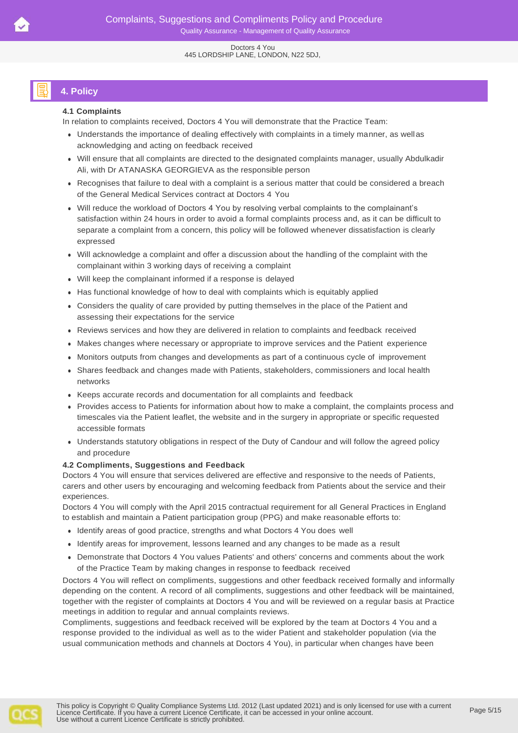# **4. Policy**

## **4.1 Complaints**

In relation to complaints received, Doctors 4 You will demonstrate that the Practice Team:

- ⚫ Understands the importance of dealing effectively with complaints in a timely manner, as wellas acknowledging and acting on feedback received
- ⚫ Will ensure that all complaints are directed to the designated complaints manager, usually Abdulkadir Ali, with Dr ATANASKA GEORGIEVA as the responsible person
- ⚫ Recognises that failure to deal with a complaint is a serious matter that could be considered a breach of the General Medical Services contract at Doctors 4 You
- ⚫ Will reduce the workload of Doctors 4 You by resolving verbal complaints to the complainant's satisfaction within 24 hours in order to avoid a formal complaints process and, as it can be difficult to separate a complaint from a concern, this policy will be followed whenever dissatisfaction is clearly expressed
- ⚫ Will acknowledge a complaint and offer a discussion about the handling of the complaint with the complainant within 3 working days of receiving a complaint
- ⚫ Will keep the complainant informed if a response is delayed
- ⚫ Has functional knowledge of how to deal with complaints which is equitably applied
- ⚫ Considers the quality of care provided by putting themselves in the place of the Patient and assessing their expectations for the service
- ⚫ Reviews services and how they are delivered in relation to complaints and feedback received
- ⚫ Makes changes where necessary or appropriate to improve services and the Patient experience
- ⚫ Monitors outputs from changes and developments as part of a continuous cycle of improvement
- ⚫ Shares feedback and changes made with Patients, stakeholders, commissioners and local health networks
- ⚫ Keeps accurate records and documentation for all complaints and feedback
- ⚫ Provides access to Patients for information about how to make a complaint, the complaints process and timescales via the Patient leaflet, the website and in the surgery in appropriate or specific requested accessible formats
- ⚫ Understands statutory obligations in respect of the Duty of Candour and will follow the agreed policy and procedure

## **4.2 Compliments, Suggestions and Feedback**

Doctors 4 You will ensure that services delivered are effective and responsive to the needs of Patients, carers and other users by encouraging and welcoming feedback from Patients about the service and their experiences.

Doctors 4 You will comply with the April 2015 contractual requirement for all General Practices in England to establish and maintain a Patient participation group (PPG) and make reasonable efforts to:

- ⚫ Identify areas of good practice, strengths and what Doctors 4 You does well
- ⚫ Identify areas for improvement, lessons learned and any changes to be made as a result
- ⚫ Demonstrate that Doctors 4 You values Patients' and others' concerns and comments about the work of the Practice Team by making changes in response to feedback received

Doctors 4 You will reflect on compliments, suggestions and other feedback received formally and informally depending on the content. A record of all compliments, suggestions and other feedback will be maintained, together with the register of complaints at Doctors 4 You and will be reviewed on a regular basis at Practice meetings in addition to regular and annual complaints reviews.

Compliments, suggestions and feedback received will be explored by the team at Doctors 4 You and a response provided to the individual as well as to the wider Patient and stakeholder population (via the usual communication methods and channels at Doctors 4 You), in particular when changes have been

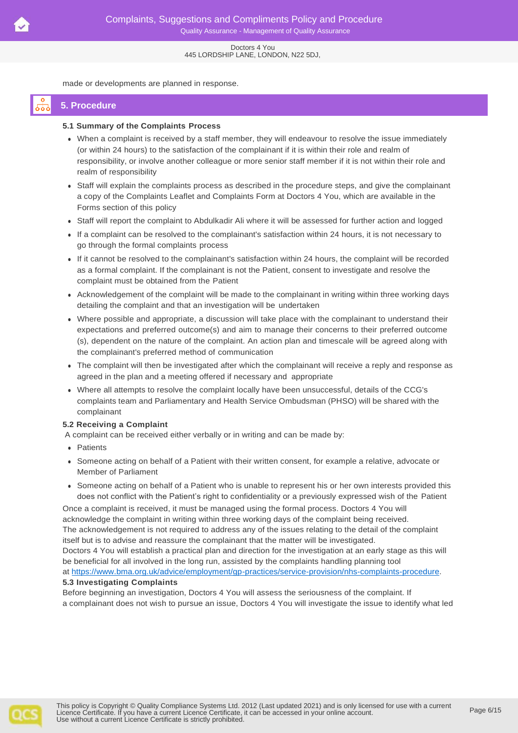made or developments are planned in response.

#### **5. Procedure**ᡂ

### **5.1 Summary of the Complaints Process**

- ⚫ When a complaint is received by a staff member, they will endeavour to resolve the issue immediately (or within 24 hours) to the satisfaction of the complainant if it is within their role and realm of responsibility, or involve another colleague or more senior staff member if it is not within their role and realm of responsibility
- ⚫ Staff will explain the complaints process as described in the procedure steps, and give the complainant a copy of the Complaints Leaflet and Complaints Form at Doctors 4 You, which are available in the Forms section of this policy
- ⚫ Staff will report the complaint to Abdulkadir Ali where it will be assessed for further action and logged
- ⚫ If a complaint can be resolved to the complainant's satisfaction within 24 hours, it is not necessary to go through the formal complaints process
- ⚫ If it cannot be resolved to the complainant's satisfaction within 24 hours, the complaint will be recorded as a formal complaint. If the complainant is not the Patient, consent to investigate and resolve the complaint must be obtained from the Patient
- ⚫ Acknowledgement of the complaint will be made to the complainant in writing within three working days detailing the complaint and that an investigation will be undertaken
- ⚫ Where possible and appropriate, a discussion will take place with the complainant to understand their expectations and preferred outcome(s) and aim to manage their concerns to their preferred outcome (s), dependent on the nature of the complaint. An action plan and timescale will be agreed along with the complainant's preferred method of communication
- ⚫ The complaint will then be investigated after which the complainant will receive a reply and response as agreed in the plan and a meeting offered if necessary and appropriate
- ⚫ Where all attempts to resolve the complaint locally have been unsuccessful, details of the CCG's complaints team and Parliamentary and Health Service Ombudsman (PHSO) will be shared with the complainant

### **5.2 Receiving a Complaint**

A complaint can be received either verbally or in writing and can be made by:

- ⚫ Patients
- ⚫ Someone acting on behalf of a Patient with their written consent, for example a relative, advocate or Member of Parliament
- ⚫ Someone acting on behalf of a Patient who is unable to represent his or her own interests provided this does not conflict with the Patient's right to confidentiality or a previously expressed wish of the Patient

Once a complaint is received, it must be managed using the formal process. Doctors 4 You will acknowledge the complaint in writing within three working days of the complaint being received. The acknowledgement is not required to address any of the issues relating to the detail of the complaint itself but is to advise and reassure the complainant that the matter will be investigated. Doctors 4 You will establish a practical plan and direction for the investigation at an early stage as this will be beneficial for all involved in the long run, assisted by the complaints handling planning tool at [https://www.bma.org.uk/advice/employment/gp-practices/service-provision/nhs-complaints-procedure.](https://www.bma.org.uk/advice/employment/gp-practices/service-provision/nhs-complaints-procedure) **5.3 Investigating Complaints**

Before beginning an investigation, Doctors 4 You will assess the seriousness of the complaint. If a complainant does not wish to pursue an issue, Doctors 4 You will investigate the issue to identify what led

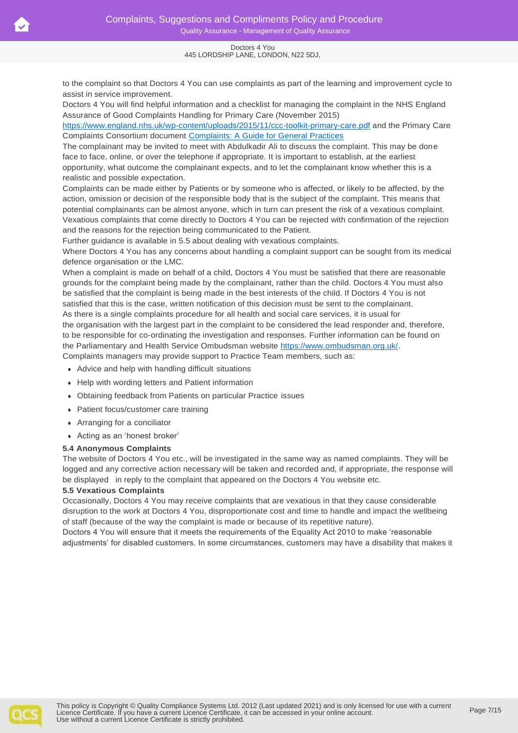to the complaint so that Doctors 4 You can use complaints as part of the learning and improvement cycle to assist in service improvement.

Doctors 4 You will find helpful information and a checklist for managing the complaint in the NHS England Assurance of Good Complaints Handling for Primary Care (November 2015)

<https://www.england.nhs.uk/wp-content/uploads/2015/11/ccc-toolkit-primary-care.pdf> and the Primary Care Complaints Consortium document [Complaints: A Guide for General Practices](https://www.bma.org.uk/advice/employment/gp-practices/service-provision/nhs-complaints-procedure)

The complainant may be invited to meet with Abdulkadir Ali to discuss the complaint. This may be done face to face, online, or over the telephone if appropriate. It is important to establish, at the earliest opportunity, what outcome the complainant expects, and to let the complainant know whether this is a realistic and possible expectation.

Complaints can be made either by Patients or by someone who is affected, or likely to be affected, by the action, omission or decision of the responsible body that is the subject of the complaint. This means that potential complainants can be almost anyone, which in turn can present the risk of a vexatious complaint. Vexatious complaints that come directly to Doctors 4 You can be rejected with confirmation of the rejection and the reasons for the rejection being communicated to the Patient.

Further guidance is available in 5.5 about dealing with vexatious complaints.

Where Doctors 4 You has any concerns about handling a complaint support can be sought from its medical defence organisation or the LMC.

When a complaint is made on behalf of a child, Doctors 4 You must be satisfied that there are reasonable grounds for the complaint being made by the complainant, rather than the child. Doctors 4 You must also be satisfied that the complaint is being made in the best interests of the child. If Doctors 4 You is not satisfied that this is the case, written notification of this decision must be sent to the complainant. As there is a single complaints procedure for all health and social care services, it is usual for the organisation with the largest part in the complaint to be considered the lead responder and, therefore, to be responsible for co-ordinating the investigation and responses. Further information can be found on the Parliamentary and Health Service Ombudsman website [https://www.ombudsman.org.uk/.](http://www.ombudsman.org.uk/) Complaints managers may provide support to Practice Team members, such as:

- ⚫ Advice and help with handling difficult situations
- ⚫ Help with wording letters and Patient information
- ⚫ Obtaining feedback from Patients on particular Practice issues
- ⚫ Patient focus/customer care training
- ⚫ Arranging for a conciliator
- ⚫ Acting as an 'honest broker'

#### **5.4 Anonymous Complaints**

The website of Doctors 4 You etc., will be investigated in the same way as named complaints. They will be logged and any corrective action necessary will be taken and recorded and, if appropriate, the response will be displayed in reply to the complaint that appeared on the Doctors 4 You website etc.

## **5.5 Vexatious Complaints**

Occasionally, Doctors 4 You may receive complaints that are vexatious in that they cause considerable disruption to the work at Doctors 4 You, disproportionate cost and time to handle and impact the wellbeing of staff (because of the way the complaint is made or because of its repetitive nature).

Doctors 4 You will ensure that it meets the requirements of the Equality Act 2010 to make 'reasonable adjustments' for disabled customers. In some circumstances, customers may have a disability that makes it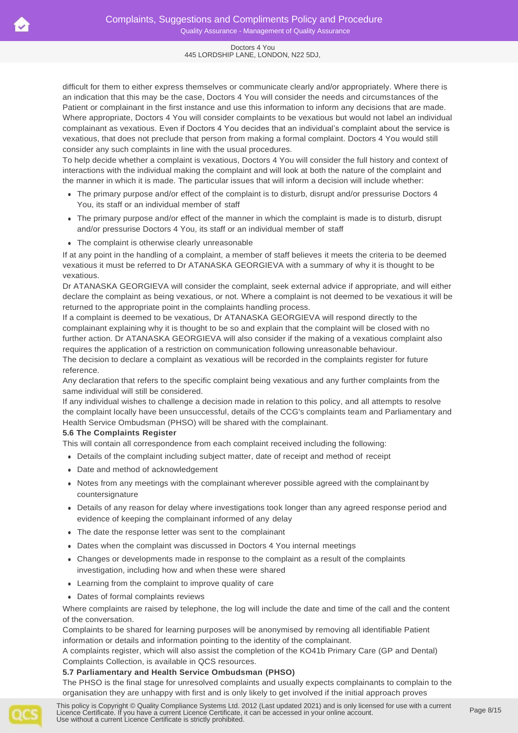difficult for them to either express themselves or communicate clearly and/or appropriately. Where there is an indication that this may be the case, Doctors 4 You will consider the needs and circumstances of the Patient or complainant in the first instance and use this information to inform any decisions that are made. Where appropriate, Doctors 4 You will consider complaints to be vexatious but would not label an individual complainant as vexatious. Even if Doctors 4 You decides that an individual's complaint about the service is vexatious, that does not preclude that person from making a formal complaint. Doctors 4 You would still consider any such complaints in line with the usual procedures.

To help decide whether a complaint is vexatious, Doctors 4 You will consider the full history and context of interactions with the individual making the complaint and will look at both the nature of the complaint and the manner in which it is made. The particular issues that will inform a decision will include whether:

- ⚫ The primary purpose and/or effect of the complaint is to disturb, disrupt and/or pressurise Doctors 4 You, its staff or an individual member of staff
- ⚫ The primary purpose and/or effect of the manner in which the complaint is made is to disturb, disrupt and/or pressurise Doctors 4 You, its staff or an individual member of staff
- ⚫ The complaint is otherwise clearly unreasonable

If at any point in the handling of a complaint, a member of staff believes it meets the criteria to be deemed vexatious it must be referred to Dr ATANASKA GEORGIEVA with a summary of why it is thought to be vexatious.

Dr ATANASKA GEORGIEVA will consider the complaint, seek external advice if appropriate, and will either declare the complaint as being vexatious, or not. Where a complaint is not deemed to be vexatious it will be returned to the appropriate point in the complaints handling process.

If a complaint is deemed to be vexatious, Dr ATANASKA GEORGIEVA will respond directly to the complainant explaining why it is thought to be so and explain that the complaint will be closed with no further action. Dr ATANASKA GEORGIEVA will also consider if the making of a vexatious complaint also requires the application of a restriction on communication following unreasonable behaviour. The decision to declare a complaint as vexatious will be recorded in the complaints register for future reference.

Any declaration that refers to the specific complaint being vexatious and any further complaints from the same individual will still be considered.

If any individual wishes to challenge a decision made in relation to this policy, and all attempts to resolve the complaint locally have been unsuccessful, details of the CCG's complaints team and Parliamentary and Health Service Ombudsman (PHSO) will be shared with the complainant.

### **5.6 The Complaints Register**

This will contain all correspondence from each complaint received including the following:

⚫ Details of the complaint including subject matter, date of receipt and method of receipt

- ⚫ Date and method of acknowledgement
- ⚫ Notes from any meetings with the complainant wherever possible agreed with the complainant by countersignature
- ⚫ Details of any reason for delay where investigations took longer than any agreed response period and evidence of keeping the complainant informed of any delay
- ⚫ The date the response letter was sent to the complainant
- ⚫ Dates when the complaint was discussed in Doctors 4 You internal meetings
- ⚫ Changes or developments made in response to the complaint as a result of the complaints investigation, including how and when these were shared
- ⚫ Learning from the complaint to improve quality of care
- ⚫ Dates of formal complaints reviews

Where complaints are raised by telephone, the log will include the date and time of the call and the content of the conversation.

Complaints to be shared for learning purposes will be anonymised by removing all identifiable Patient information or details and information pointing to the identity of the complainant.

A complaints register, which will also assist the completion of the KO41b Primary Care (GP and Dental) Complaints Collection, is available in QCS resources.

## **5.7 Parliamentary and Health Service Ombudsman (PHSO)**

The PHSO is the final stage for unresolved complaints and usually expects complainants to complain to the organisation they are unhappy with first and is only likely to get involved if the initial approach proves

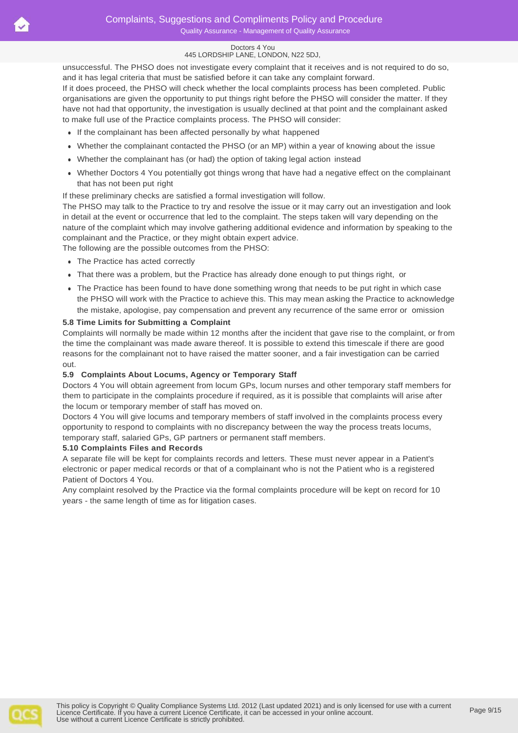unsuccessful. The PHSO does not investigate every complaint that it receives and is not required to do so, and it has legal criteria that must be satisfied before it can take any complaint forward.

If it does proceed, the PHSO will check whether the local complaints process has been completed. Public organisations are given the opportunity to put things right before the PHSO will consider the matter. If they have not had that opportunity, the investigation is usually declined at that point and the complainant asked to make full use of the Practice complaints process. The PHSO will consider:

- ⚫ If the complainant has been affected personally by what happened
- ⚫ Whether the complainant contacted the PHSO (or an MP) within a year of knowing about the issue
- ⚫ Whether the complainant has (or had) the option of taking legal action instead
- ⚫ Whether Doctors 4 You potentially got things wrong that have had a negative effect on the complainant that has not been put right

If these preliminary checks are satisfied a formal investigation will follow.

The PHSO may talk to the Practice to try and resolve the issue or it may carry out an investigation and look in detail at the event or occurrence that led to the complaint. The steps taken will vary depending on the nature of the complaint which may involve gathering additional evidence and information by speaking to the complainant and the Practice, or they might obtain expert advice.

The following are the possible outcomes from the PHSO:

- ⚫ The Practice has acted correctly
- ⚫ That there was a problem, but the Practice has already done enough to put things right, or
- ⚫ The Practice has been found to have done something wrong that needs to be put right in which case the PHSO will work with the Practice to achieve this. This may mean asking the Practice to acknowledge the mistake, apologise, pay compensation and prevent any recurrence of the same error or omission

## **5.8 Time Limits for Submitting a Complaint**

Complaints will normally be made within 12 months after the incident that gave rise to the complaint, or from the time the complainant was made aware thereof. It is possible to extend this timescale if there are good reasons for the complainant not to have raised the matter sooner, and a fair investigation can be carried out.

### **5.9 Complaints About Locums, Agency or Temporary Staff**

Doctors 4 You will obtain agreement from locum GPs, locum nurses and other temporary staff members for them to participate in the complaints procedure if required, as it is possible that complaints will arise after the locum or temporary member of staff has moved on.

Doctors 4 You will give locums and temporary members of staff involved in the complaints process every opportunity to respond to complaints with no discrepancy between the way the process treats locums, temporary staff, salaried GPs, GP partners or permanent staff members.

### **5.10 Complaints Files and Records**

A separate file will be kept for complaints records and letters. These must never appear in a Patient's electronic or paper medical records or that of a complainant who is not the Patient who is a registered Patient of Doctors 4 You.

Any complaint resolved by the Practice via the formal complaints procedure will be kept on record for 10 years - the same length of time as for litigation cases.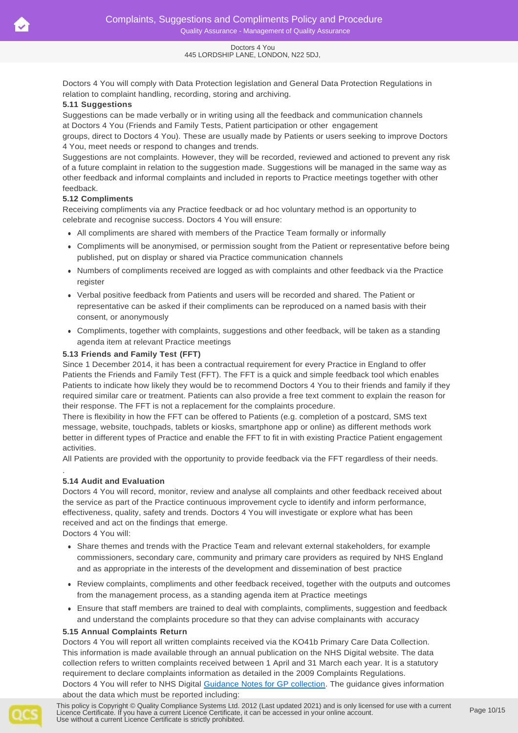Doctors 4 You will comply with Data Protection legislation and General Data Protection Regulations in relation to complaint handling, recording, storing and archiving.

## **5.11 Suggestions**

Suggestions can be made verbally or in writing using all the feedback and communication channels at Doctors 4 You (Friends and Family Tests, Patient participation or other engagement groups, direct to Doctors 4 You). These are usually made by Patients or users seeking to improve Doctors 4 You, meet needs or respond to changes and trends.

Suggestions are not complaints. However, they will be recorded, reviewed and actioned to prevent any risk of a future complaint in relation to the suggestion made. Suggestions will be managed in the same way as other feedback and informal complaints and included in reports to Practice meetings together with other feedback.

### **5.12 Compliments**

Receiving compliments via any Practice feedback or ad hoc voluntary method is an opportunity to celebrate and recognise success. Doctors 4 You will ensure:

- ⚫ All compliments are shared with members of the Practice Team formally or informally
- ⚫ Compliments will be anonymised, or permission sought from the Patient or representative before being published, put on display or shared via Practice communication channels
- ⚫ Numbers of compliments received are logged as with complaints and other feedback via the Practice register
- ⚫ Verbal positive feedback from Patients and users will be recorded and shared. The Patient or representative can be asked if their compliments can be reproduced on a named basis with their consent, or anonymously
- ⚫ Compliments, together with complaints, suggestions and other feedback, will be taken as a standing agenda item at relevant Practice meetings

## **5.13 Friends and Family Test (FFT)**

Since 1 December 2014, it has been a contractual requirement for every Practice in England to offer Patients the Friends and Family Test (FFT). The FFT is a quick and simple feedback tool which enables Patients to indicate how likely they would be to recommend Doctors 4 You to their friends and family if they required similar care or treatment. Patients can also provide a free text comment to explain the reason for their response. The FFT is not a replacement for the complaints procedure.

There is flexibility in how the FFT can be offered to Patients (e.g. completion of a postcard, SMS text message, website, touchpads, tablets or kiosks, smartphone app or online) as different methods work better in different types of Practice and enable the FFT to fit in with existing Practice Patient engagement activities.

All Patients are provided with the opportunity to provide feedback via the FFT regardless of their needs.

#### . **5.14 Audit and Evaluation**

Doctors 4 You will record, monitor, review and analyse all complaints and other feedback received about the service as part of the Practice continuous improvement cycle to identify and inform performance, effectiveness, quality, safety and trends. Doctors 4 You will investigate or explore what has been received and act on the findings that emerge.

Doctors 4 You will:

- ⚫ Share themes and trends with the Practice Team and relevant external stakeholders, for example commissioners, secondary care, community and primary care providers as required by NHS England and as appropriate in the interests of the development and dissemination of best practice
- ⚫ Review complaints, compliments and other feedback received, together with the outputs and outcomes from the management process, as a standing agenda item at Practice meetings
- ⚫ Ensure that staff members are trained to deal with complaints, compliments, suggestion and feedback and understand the complaints procedure so that they can advise complainants with accuracy

### **5.15 Annual Complaints Return**

Doctors 4 You will report all written complaints received via the KO41b Primary Care Data Collection. This information is made available through an annual publication on the NHS Digital website. The data collection refers to written complaints received between 1 April and 31 March each year. It is a statutory requirement to declare complaints information as detailed in the 2009 Complaints Regulations. Doctors 4 You will refer to NHS Digital [Guidance Notes for GP collection.](https://digital.nhs.uk/data-and-information/data-collections-and-data-sets/data-collections/primary-care-gp-and-dental-complaints-collection-ko41b) The guidance gives information about the data which must be reported including:

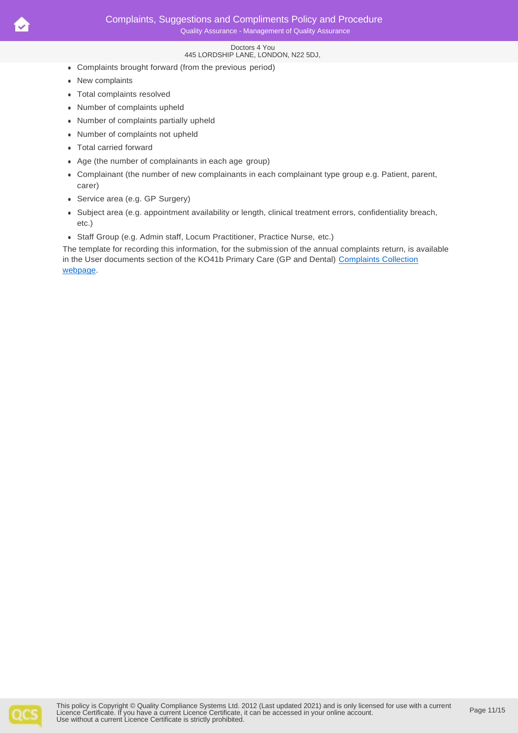- ⚫ Complaints brought forward (from the previous period)
- ⚫ New complaints
- ⚫ Total complaints resolved
- ⚫ Number of complaints upheld
- ⚫ Number of complaints partially upheld
- ⚫ Number of complaints not upheld
- ⚫ Total carried forward
- ⚫ Age (the number of complainants in each age group)
- ⚫ Complainant (the number of new complainants in each complainant type group e.g. Patient, parent, carer)
- ⚫ Service area (e.g. GP Surgery)
- ⚫ Subject area (e.g. appointment availability or length, clinical treatment errors, confidentiality breach, etc.)
- ⚫ Staff Group (e.g. Admin staff, Locum Practitioner, Practice Nurse, etc.)

The template for recording this information, for the submission of the annual complaints return, is available in the User documents section of the KO41b Primary Care (GP and Dental) [Complaints Collection](https://digital.nhs.uk/data-and-information/data-collections-and-data-sets/data-collections/primary-care-gp-and-dental-complaints-collection-ko41b) [webpage.](https://digital.nhs.uk/data-and-information/data-collections-and-data-sets/data-collections/primary-care-gp-and-dental-complaints-collection-ko41b)

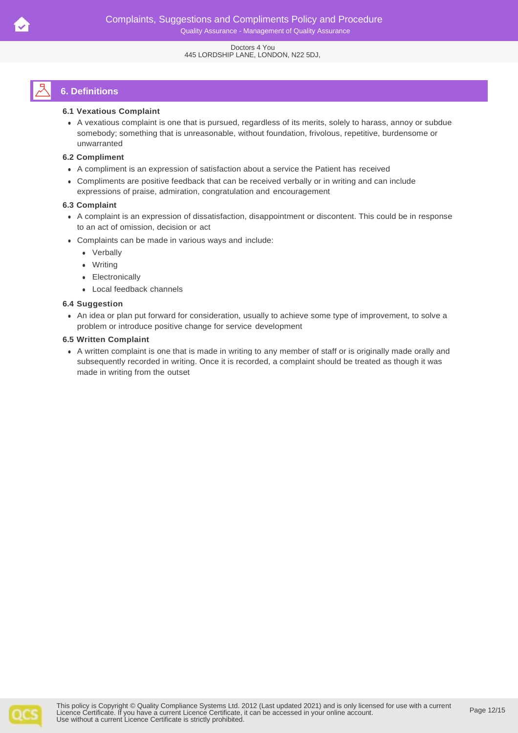# **6. Definitions**

## **6.1 Vexatious Complaint**

⚫ A vexatious complaint is one that is pursued, regardless of its merits, solely to harass, annoy or subdue somebody; something that is unreasonable, without foundation, frivolous, repetitive, burdensome or unwarranted

## **6.2 Compliment**

- ⚫ A compliment is an expression of satisfaction about a service the Patient has received
- ⚫ Compliments are positive feedback that can be received verbally or in writing and can include expressions of praise, admiration, congratulation and encouragement

## **6.3 Complaint**

- ⚫ A complaint is an expression of dissatisfaction, disappointment or discontent. This could be in response to an act of omission, decision or act
- ⚫ Complaints can be made in various ways and include:
	- ⚫ Verbally
	- ⚫ Writing
	- ⚫ Electronically
	- ⚫ Local feedback channels

## **6.4 Suggestion**

⚫ An idea or plan put forward for consideration, usually to achieve some type of improvement, to solve a problem or introduce positive change for service development

## **6.5 Written Complaint**

⚫ A written complaint is one that is made in writing to any member of staff or is originally made orally and subsequently recorded in writing. Once it is recorded, a complaint should be treated as though it was made in writing from the outset

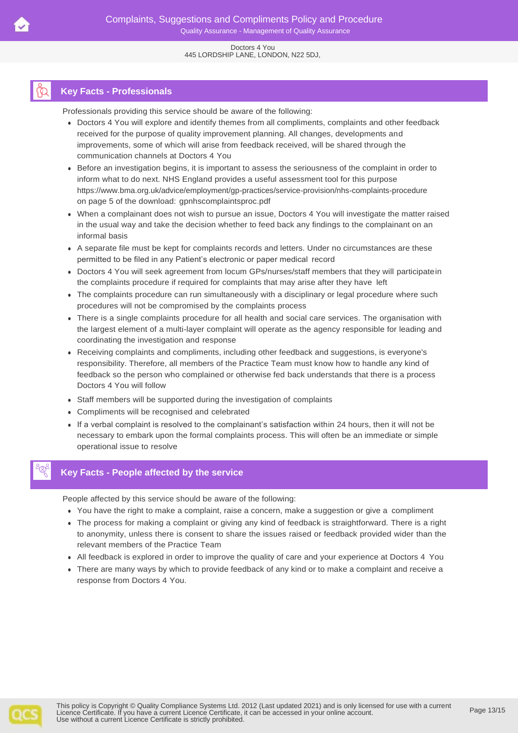## **Key Facts - Professionals**

Professionals providing this service should be aware of the following:

- ⚫ Doctors 4 You will explore and identify themes from all compliments, complaints and other feedback received for the purpose of quality improvement planning. All changes, developments and improvements, some of which will arise from feedback received, will be shared through the communication channels at Doctors 4 You
- ⚫ Before an investigation begins, it is important to assess the seriousness of the complaint in order to inform what to do next. NHS England provides a useful assessment tool for this purpose [https://www.bma.org.uk/advice/employment/gp-practices/service-provision/nhs-complaints-procedure](http://www.bma.org.uk/advice/employment/gp-practices/service-provision/nhs-complaints-procedure)  on page 5 of the download: gpnhscomplaintsproc.pdf
- ⚫ When a complainant does not wish to pursue an issue, Doctors 4 You will investigate the matter raised in the usual way and take the decision whether to feed back any findings to the complainant on an informal basis
- ⚫ A separate file must be kept for complaints records and letters. Under no circumstances are these permitted to be filed in any Patient's electronic or paper medical record
- ⚫ Doctors 4 You will seek agreement from locum GPs/nurses/staff members that they will participatein the complaints procedure if required for complaints that may arise after they have left
- ⚫ The complaints procedure can run simultaneously with a disciplinary or legal procedure where such procedures will not be compromised by the complaints process
- ⚫ There is a single complaints procedure for all health and social care services. The organisation with the largest element of a multi-layer complaint will operate as the agency responsible for leading and coordinating the investigation and response
- ⚫ Receiving complaints and compliments, including other feedback and suggestions, is everyone's responsibility. Therefore, all members of the Practice Team must know how to handle any kind of feedback so the person who complained or otherwise fed back understands that there is a process Doctors 4 You will follow
- ⚫ Staff members will be supported during the investigation of complaints
- ⚫ Compliments will be recognised and celebrated
- ⚫ If a verbal complaint is resolved to the complainant's satisfaction within 24 hours, then it will not be necessary to embark upon the formal complaints process. This will often be an immediate or simple operational issue to resolve

## **Key Facts - People affected by the service**

People affected by this service should be aware of the following:

- ⚫ You have the right to make a complaint, raise a concern, make a suggestion or give a compliment
- ⚫ The process for making a complaint or giving any kind of feedback is straightforward. There is a right to anonymity, unless there is consent to share the issues raised or feedback provided wider than the relevant members of the Practice Team
- ⚫ All feedback is explored in order to improve the quality of care and your experience at Doctors 4 You
- ⚫ There are many ways by which to provide feedback of any kind or to make a complaint and receive a response from Doctors 4 You.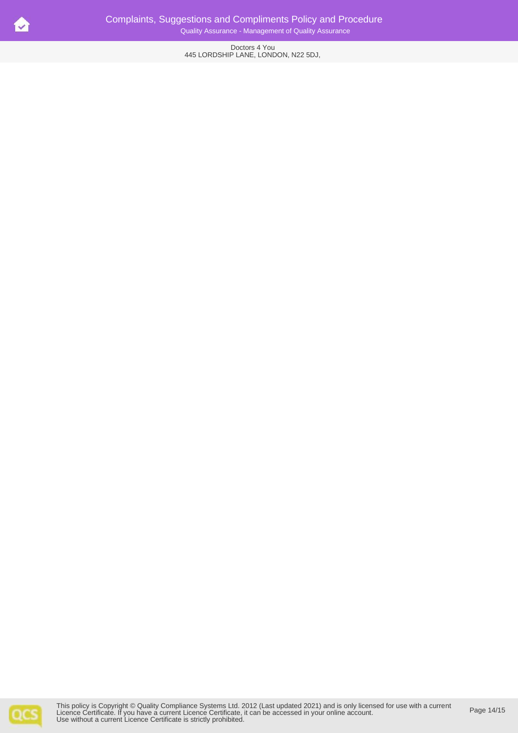